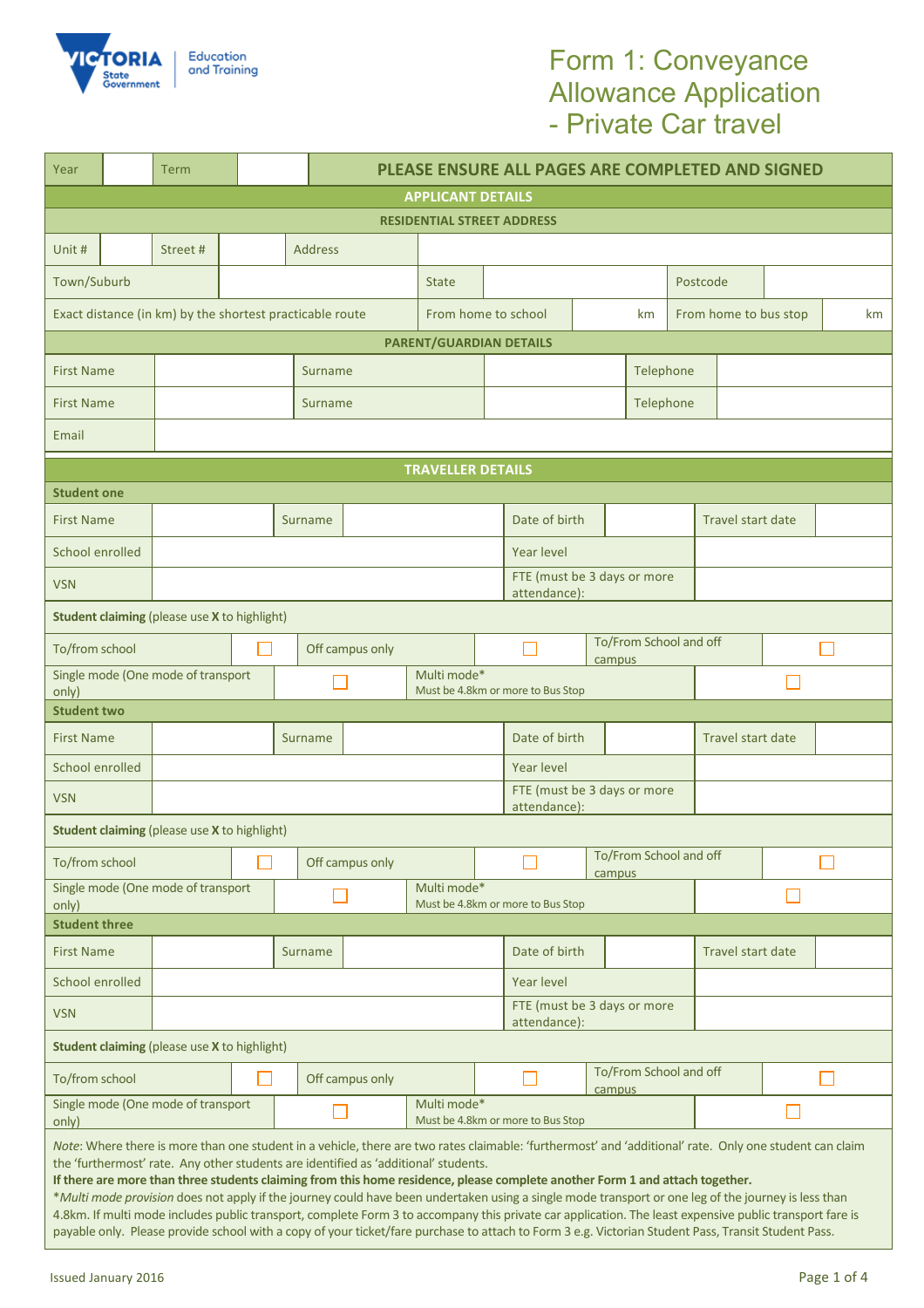

# Form 1: Conveyance Allowance Application - Private Car travel

| Year                                                                                                                                                                                                                                                                                                                                                                                                                                                                                                                                                                                                                                                                                                                                                                                                                                                    |                                                     | Term                                                 |                   |                                                  |                                                  |  |               |                                  | PLEASE ENSURE ALL PAGES ARE COMPLETED AND SIGNED |                                  |  |                          |  |                   |  |
|---------------------------------------------------------------------------------------------------------------------------------------------------------------------------------------------------------------------------------------------------------------------------------------------------------------------------------------------------------------------------------------------------------------------------------------------------------------------------------------------------------------------------------------------------------------------------------------------------------------------------------------------------------------------------------------------------------------------------------------------------------------------------------------------------------------------------------------------------------|-----------------------------------------------------|------------------------------------------------------|-------------------|--------------------------------------------------|--------------------------------------------------|--|---------------|----------------------------------|--------------------------------------------------|----------------------------------|--|--------------------------|--|-------------------|--|
| <b>APPLICANT DETAILS</b>                                                                                                                                                                                                                                                                                                                                                                                                                                                                                                                                                                                                                                                                                                                                                                                                                                |                                                     |                                                      |                   |                                                  |                                                  |  |               |                                  |                                                  |                                  |  |                          |  |                   |  |
| <b>RESIDENTIAL STREET ADDRESS</b>                                                                                                                                                                                                                                                                                                                                                                                                                                                                                                                                                                                                                                                                                                                                                                                                                       |                                                     |                                                      |                   |                                                  |                                                  |  |               |                                  |                                                  |                                  |  |                          |  |                   |  |
| Unit #                                                                                                                                                                                                                                                                                                                                                                                                                                                                                                                                                                                                                                                                                                                                                                                                                                                  |                                                     | Street#                                              |                   |                                                  | <b>Address</b>                                   |  |               |                                  |                                                  |                                  |  |                          |  |                   |  |
| Town/Suburb                                                                                                                                                                                                                                                                                                                                                                                                                                                                                                                                                                                                                                                                                                                                                                                                                                             |                                                     |                                                      |                   |                                                  |                                                  |  | <b>State</b>  |                                  |                                                  |                                  |  | Postcode                 |  |                   |  |
| Exact distance (in km) by the shortest practicable route<br>From home to school<br>From home to bus stop<br>km                                                                                                                                                                                                                                                                                                                                                                                                                                                                                                                                                                                                                                                                                                                                          |                                                     |                                                      |                   |                                                  |                                                  |  |               |                                  | km                                               |                                  |  |                          |  |                   |  |
| PARENT/GUARDIAN DETAILS                                                                                                                                                                                                                                                                                                                                                                                                                                                                                                                                                                                                                                                                                                                                                                                                                                 |                                                     |                                                      |                   |                                                  |                                                  |  |               |                                  |                                                  |                                  |  |                          |  |                   |  |
|                                                                                                                                                                                                                                                                                                                                                                                                                                                                                                                                                                                                                                                                                                                                                                                                                                                         | <b>First Name</b>                                   |                                                      |                   |                                                  | Surname                                          |  |               |                                  | Telephone                                        |                                  |  |                          |  |                   |  |
|                                                                                                                                                                                                                                                                                                                                                                                                                                                                                                                                                                                                                                                                                                                                                                                                                                                         | <b>First Name</b>                                   |                                                      |                   |                                                  | Surname                                          |  |               |                                  | Telephone                                        |                                  |  |                          |  |                   |  |
| Email                                                                                                                                                                                                                                                                                                                                                                                                                                                                                                                                                                                                                                                                                                                                                                                                                                                   |                                                     |                                                      |                   |                                                  |                                                  |  |               |                                  |                                                  |                                  |  |                          |  |                   |  |
|                                                                                                                                                                                                                                                                                                                                                                                                                                                                                                                                                                                                                                                                                                                                                                                                                                                         | <b>TRAVELLER DETAILS</b>                            |                                                      |                   |                                                  |                                                  |  |               |                                  |                                                  |                                  |  |                          |  |                   |  |
| <b>Student one</b>                                                                                                                                                                                                                                                                                                                                                                                                                                                                                                                                                                                                                                                                                                                                                                                                                                      |                                                     |                                                      |                   |                                                  |                                                  |  |               |                                  |                                                  |                                  |  |                          |  |                   |  |
| <b>First Name</b>                                                                                                                                                                                                                                                                                                                                                                                                                                                                                                                                                                                                                                                                                                                                                                                                                                       |                                                     |                                                      |                   |                                                  | Surname                                          |  | Date of birth |                                  |                                                  |                                  |  |                          |  | Travel start date |  |
| School enrolled                                                                                                                                                                                                                                                                                                                                                                                                                                                                                                                                                                                                                                                                                                                                                                                                                                         |                                                     | <b>Year level</b>                                    |                   |                                                  |                                                  |  |               |                                  |                                                  |                                  |  |                          |  |                   |  |
| <b>VSN</b>                                                                                                                                                                                                                                                                                                                                                                                                                                                                                                                                                                                                                                                                                                                                                                                                                                              |                                                     | FTE (must be 3 days or more<br>attendance):          |                   |                                                  |                                                  |  |               |                                  |                                                  |                                  |  |                          |  |                   |  |
|                                                                                                                                                                                                                                                                                                                                                                                                                                                                                                                                                                                                                                                                                                                                                                                                                                                         |                                                     | <b>Student claiming (please use X to highlight)</b>  |                   |                                                  |                                                  |  |               |                                  |                                                  |                                  |  |                          |  |                   |  |
|                                                                                                                                                                                                                                                                                                                                                                                                                                                                                                                                                                                                                                                                                                                                                                                                                                                         | To/from school                                      |                                                      |                   | Off campus only                                  |                                                  |  |               |                                  | campus                                           | To/From School and off           |  |                          |  |                   |  |
| only)                                                                                                                                                                                                                                                                                                                                                                                                                                                                                                                                                                                                                                                                                                                                                                                                                                                   |                                                     | Single mode (One mode of transport                   |                   |                                                  |                                                  |  | Multi mode*   |                                  | Must be 4.8km or more to Bus Stop                |                                  |  |                          |  |                   |  |
| <b>Student two</b>                                                                                                                                                                                                                                                                                                                                                                                                                                                                                                                                                                                                                                                                                                                                                                                                                                      |                                                     |                                                      |                   |                                                  |                                                  |  |               |                                  |                                                  |                                  |  |                          |  |                   |  |
| <b>First Name</b>                                                                                                                                                                                                                                                                                                                                                                                                                                                                                                                                                                                                                                                                                                                                                                                                                                       |                                                     | Date of birth<br><b>Travel start date</b><br>Surname |                   |                                                  |                                                  |  |               |                                  |                                                  |                                  |  |                          |  |                   |  |
| School enrolled                                                                                                                                                                                                                                                                                                                                                                                                                                                                                                                                                                                                                                                                                                                                                                                                                                         |                                                     |                                                      | <b>Year level</b> |                                                  |                                                  |  |               |                                  |                                                  |                                  |  |                          |  |                   |  |
| <b>VSN</b>                                                                                                                                                                                                                                                                                                                                                                                                                                                                                                                                                                                                                                                                                                                                                                                                                                              | FTE (must be 3 days or more<br>attendance):         |                                                      |                   |                                                  |                                                  |  |               |                                  |                                                  |                                  |  |                          |  |                   |  |
|                                                                                                                                                                                                                                                                                                                                                                                                                                                                                                                                                                                                                                                                                                                                                                                                                                                         | <b>Student claiming (please use X to highlight)</b> |                                                      |                   |                                                  |                                                  |  |               |                                  |                                                  |                                  |  |                          |  |                   |  |
| To/from school                                                                                                                                                                                                                                                                                                                                                                                                                                                                                                                                                                                                                                                                                                                                                                                                                                          |                                                     |                                                      |                   | Off campus only                                  |                                                  |  |               |                                  |                                                  | To/From School and off<br>campus |  |                          |  |                   |  |
| Single mode (One mode of transport<br>only)                                                                                                                                                                                                                                                                                                                                                                                                                                                                                                                                                                                                                                                                                                                                                                                                             |                                                     |                                                      |                   | Multi mode*<br>Must be 4.8km or more to Bus Stop |                                                  |  |               |                                  |                                                  |                                  |  |                          |  |                   |  |
| <b>Student three</b>                                                                                                                                                                                                                                                                                                                                                                                                                                                                                                                                                                                                                                                                                                                                                                                                                                    |                                                     |                                                      |                   |                                                  |                                                  |  |               |                                  |                                                  |                                  |  |                          |  |                   |  |
| <b>First Name</b>                                                                                                                                                                                                                                                                                                                                                                                                                                                                                                                                                                                                                                                                                                                                                                                                                                       |                                                     | Surname                                              |                   |                                                  |                                                  |  |               | Date of birth                    |                                                  |                                  |  | <b>Travel start date</b> |  |                   |  |
| School enrolled                                                                                                                                                                                                                                                                                                                                                                                                                                                                                                                                                                                                                                                                                                                                                                                                                                         |                                                     | <b>Year level</b>                                    |                   |                                                  |                                                  |  |               |                                  |                                                  |                                  |  |                          |  |                   |  |
| <b>VSN</b>                                                                                                                                                                                                                                                                                                                                                                                                                                                                                                                                                                                                                                                                                                                                                                                                                                              |                                                     | FTE (must be 3 days or more<br>attendance):          |                   |                                                  |                                                  |  |               |                                  |                                                  |                                  |  |                          |  |                   |  |
| <b>Student claiming (please use X to highlight)</b>                                                                                                                                                                                                                                                                                                                                                                                                                                                                                                                                                                                                                                                                                                                                                                                                     |                                                     |                                                      |                   |                                                  |                                                  |  |               |                                  |                                                  |                                  |  |                          |  |                   |  |
| To/from school                                                                                                                                                                                                                                                                                                                                                                                                                                                                                                                                                                                                                                                                                                                                                                                                                                          |                                                     |                                                      |                   | Off campus only                                  |                                                  |  |               | To/From School and off<br>campus |                                                  |                                  |  |                          |  |                   |  |
| Single mode (One mode of transport<br>only)                                                                                                                                                                                                                                                                                                                                                                                                                                                                                                                                                                                                                                                                                                                                                                                                             |                                                     |                                                      |                   |                                                  | Multi mode*<br>Must be 4.8km or more to Bus Stop |  |               |                                  |                                                  |                                  |  |                          |  |                   |  |
| Note: Where there is more than one student in a vehicle, there are two rates claimable: 'furthermost' and 'additional' rate. Only one student can claim<br>the 'furthermost' rate. Any other students are identified as 'additional' students.<br>If there are more than three students claiming from this home residence, please complete another Form 1 and attach together.<br>*Multi mode provision does not apply if the journey could have been undertaken using a single mode transport or one leg of the journey is less than<br>4.8km. If multi mode includes public transport, complete Form 3 to accompany this private car application. The least expensive public transport fare is<br>payable only. Please provide school with a copy of your ticket/fare purchase to attach to Form 3 e.g. Victorian Student Pass, Transit Student Pass. |                                                     |                                                      |                   |                                                  |                                                  |  |               |                                  |                                                  |                                  |  |                          |  |                   |  |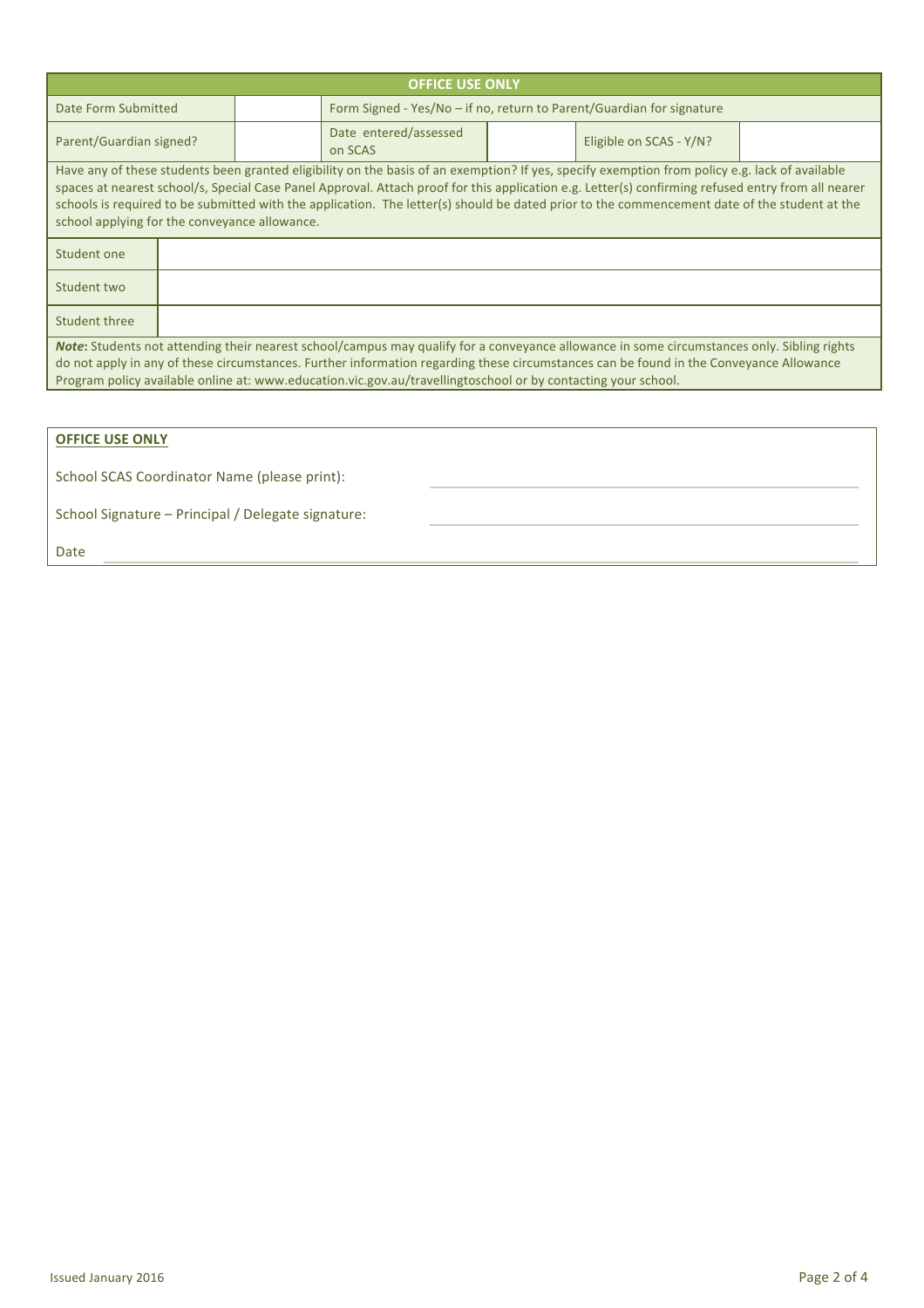|                                                                                                                                                                                                                                                                                                                                                                                                       |  |  | <b>OFFICE USE ONLY</b>                                                                                                                                                                                                                                                                                                                                                                                                                               |  |                         |  |  |  |  |  |
|-------------------------------------------------------------------------------------------------------------------------------------------------------------------------------------------------------------------------------------------------------------------------------------------------------------------------------------------------------------------------------------------------------|--|--|------------------------------------------------------------------------------------------------------------------------------------------------------------------------------------------------------------------------------------------------------------------------------------------------------------------------------------------------------------------------------------------------------------------------------------------------------|--|-------------------------|--|--|--|--|--|
| Date Form Submitted                                                                                                                                                                                                                                                                                                                                                                                   |  |  | Form Signed - Yes/No - if no, return to Parent/Guardian for signature                                                                                                                                                                                                                                                                                                                                                                                |  |                         |  |  |  |  |  |
| Parent/Guardian signed?                                                                                                                                                                                                                                                                                                                                                                               |  |  | Date entered/assessed<br>on SCAS                                                                                                                                                                                                                                                                                                                                                                                                                     |  | Eligible on SCAS - Y/N? |  |  |  |  |  |
| school applying for the conveyance allowance.                                                                                                                                                                                                                                                                                                                                                         |  |  | Have any of these students been granted eligibility on the basis of an exemption? If yes, specify exemption from policy e.g. lack of available<br>spaces at nearest school/s, Special Case Panel Approval. Attach proof for this application e.g. Letter(s) confirming refused entry from all nearer<br>schools is required to be submitted with the application. The letter(s) should be dated prior to the commencement date of the student at the |  |                         |  |  |  |  |  |
| Student one                                                                                                                                                                                                                                                                                                                                                                                           |  |  |                                                                                                                                                                                                                                                                                                                                                                                                                                                      |  |                         |  |  |  |  |  |
| Student two                                                                                                                                                                                                                                                                                                                                                                                           |  |  |                                                                                                                                                                                                                                                                                                                                                                                                                                                      |  |                         |  |  |  |  |  |
| <b>Student three</b>                                                                                                                                                                                                                                                                                                                                                                                  |  |  |                                                                                                                                                                                                                                                                                                                                                                                                                                                      |  |                         |  |  |  |  |  |
| Note: Students not attending their nearest school/campus may qualify for a conveyance allowance in some circumstances only. Sibling rights<br>do not apply in any of these circumstances. Further information regarding these circumstances can be found in the Conveyance Allowance<br>Program policy available online at: www.education.vic.gov.au/travellingtoschool or by contacting your school. |  |  |                                                                                                                                                                                                                                                                                                                                                                                                                                                      |  |                         |  |  |  |  |  |
|                                                                                                                                                                                                                                                                                                                                                                                                       |  |  |                                                                                                                                                                                                                                                                                                                                                                                                                                                      |  |                         |  |  |  |  |  |
| <b>OFFICE USE ONLY</b>                                                                                                                                                                                                                                                                                                                                                                                |  |  |                                                                                                                                                                                                                                                                                                                                                                                                                                                      |  |                         |  |  |  |  |  |

| School SCAS Coordinator Name (please print): |  |  |
|----------------------------------------------|--|--|

School Signature - Principal / Delegate signature:

Date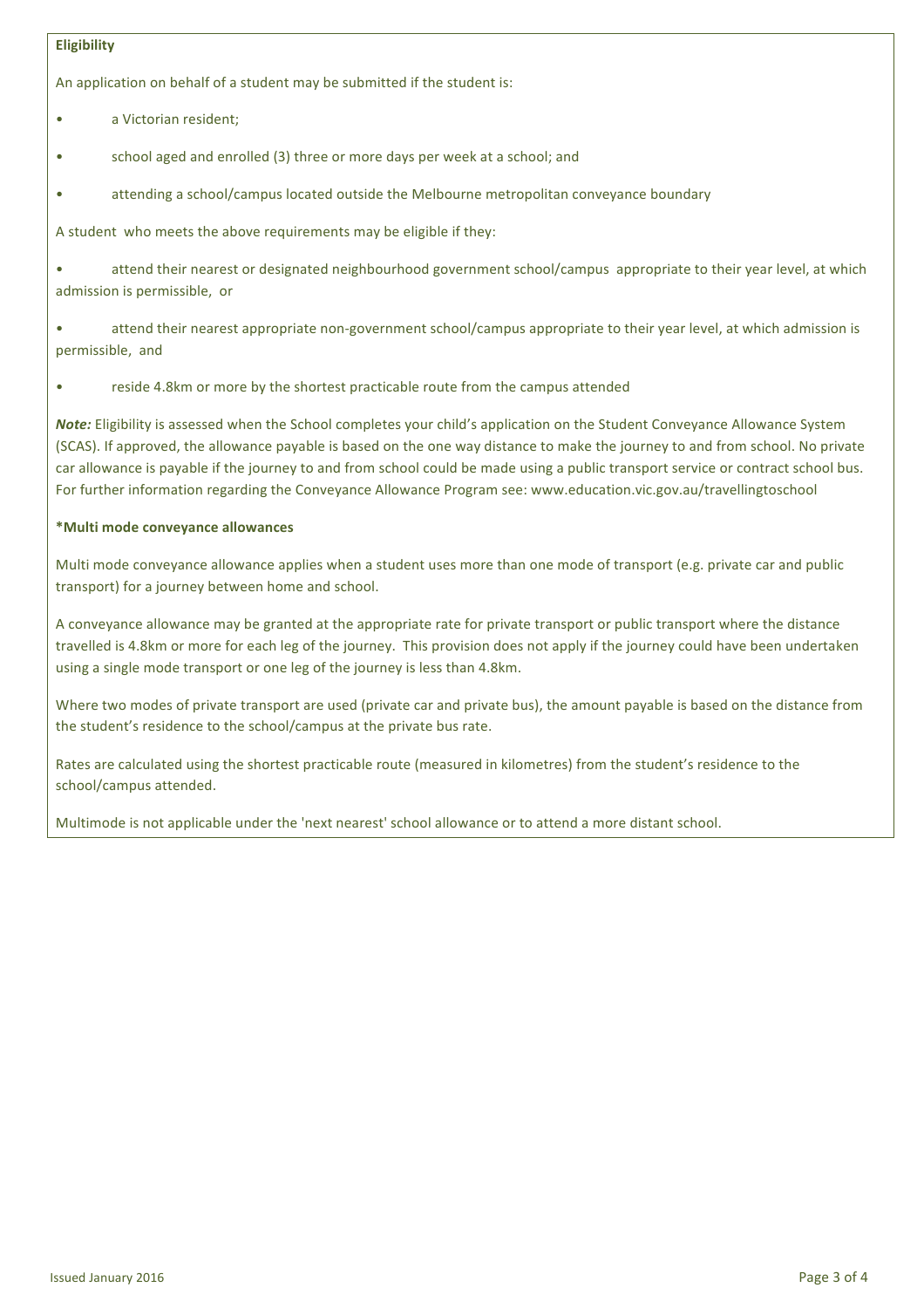### **Eligibility**

An application on behalf of a student may be submitted if the student is:

- a Victorian resident:
- school aged and enrolled (3) three or more days per week at a school; and
- attending a school/campus located outside the Melbourne metropolitan conveyance boundary

A student who meets the above requirements may be eligible if they:

attend their nearest or designated neighbourhood government school/campus appropriate to their vear level, at which admission is permissible, or

attend their nearest appropriate non-government school/campus appropriate to their year level, at which admission is permissible, and

reside 4.8km or more by the shortest practicable route from the campus attended

*Note:* Eligibility is assessed when the School completes your child's application on the Student Conveyance Allowance System (SCAS). If approved, the allowance payable is based on the one way distance to make the journey to and from school. No private car allowance is payable if the journey to and from school could be made using a public transport service or contract school bus. For further information regarding the Conveyance Allowance Program see: www.education.vic.gov.au/travellingtoschool

## **\*Multi mode conveyance allowances**

Multi mode conveyance allowance applies when a student uses more than one mode of transport (e.g. private car and public transport) for a journey between home and school.

A conveyance allowance may be granted at the appropriate rate for private transport or public transport where the distance travelled is 4.8km or more for each leg of the journey. This provision does not apply if the journey could have been undertaken using a single mode transport or one leg of the journey is less than 4.8km.

Where two modes of private transport are used (private car and private bus), the amount payable is based on the distance from the student's residence to the school/campus at the private bus rate.

Rates are calculated using the shortest practicable route (measured in kilometres) from the student's residence to the school/campus attended.

Multimode is not applicable under the 'next nearest' school allowance or to attend a more distant school.